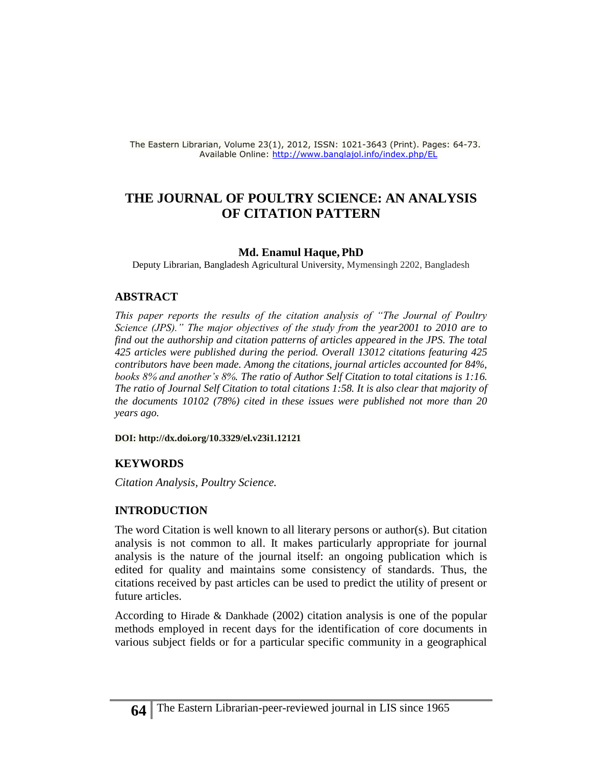The Eastern Librarian, Volume 23(1), 2012, ISSN: 1021-3643 (Print). Pages: 64-73. Available Online:<http://www.banglajol.info/index.php/EL>

# **THE JOURNAL OF POULTRY SCIENCE: AN ANALYSIS OF CITATION PATTERN**

### **Md. Enamul Haque, PhD**

Deputy Librarian, Bangladesh Agricultural University, Mymensingh 2202, Bangladesh

### **ABSTRACT**

*This paper reports the results of the citation analysis of "The Journal of Poultry Science (JPS)." The major objectives of the study from the year2001 to 2010 are to find out the authorship and citation patterns of articles appeared in the JPS. The total 425 articles were published during the period. Overall 13012 citations featuring 425 contributors have been made. Among the citations, journal articles accounted for 84%, books 8% and another's 8%. The ratio of Author Self Citation to total citations is 1:16. The ratio of Journal Self Citation to total citations 1:58. It is also clear that majority of the documents 10102 (78%) cited in these issues were published not more than 20 years ago.*

**DOI:<http://dx.doi.org/10.3329/el.v23i1.12121>**

### **KEYWORDS**

*Citation Analysis, Poultry Science.*

### **INTRODUCTION**

The word Citation is well known to all literary persons or author(s). But citation analysis is not common to all. It makes particularly appropriate for journal analysis is the nature of the journal itself: an ongoing publication which is edited for quality and maintains some consistency of standards. Thus, the citations received by past articles can be used to predict the utility of present or future articles.

According to Hirade & Dankhade (2002) citation analysis is one of the popular methods employed in recent days for the identification of core documents in various subject fields or for a particular specific community in a geographical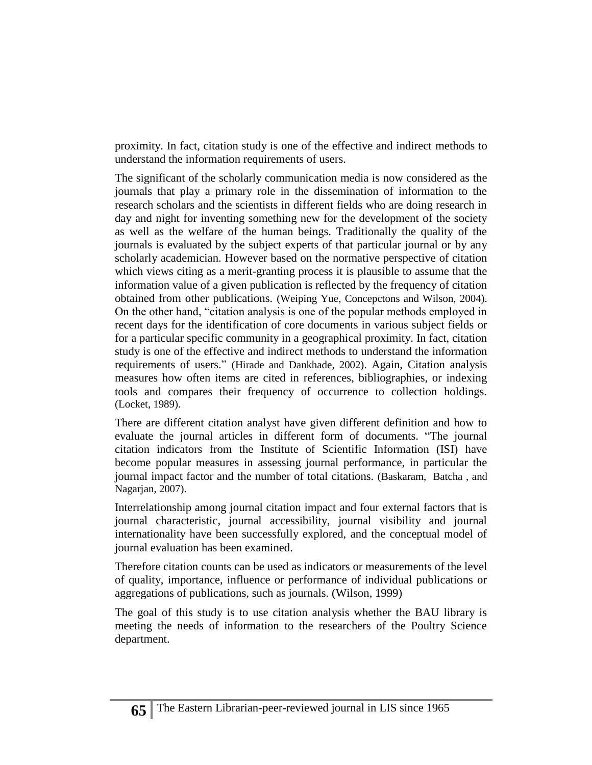proximity. In fact, citation study is one of the effective and indirect methods to understand the information requirements of users.

The significant of the scholarly communication media is now considered as the journals that play a primary role in the dissemination of information to the research scholars and the scientists in different fields who are doing research in day and night for inventing something new for the development of the society as well as the welfare of the human beings. Traditionally the quality of the journals is evaluated by the subject experts of that particular journal or by any scholarly academician. However based on the normative perspective of citation which views citing as a merit-granting process it is plausible to assume that the information value of a given publication is reflected by the frequency of citation obtained from other publications. (Weiping Yue, Concepctons and Wilson, 2004). On the other hand, "citation analysis is one of the popular methods employed in recent days for the identification of core documents in various subject fields or for a particular specific community in a geographical proximity. In fact, citation study is one of the effective and indirect methods to understand the information requirements of users." (Hirade and Dankhade, 2002). Again, Citation analysis measures how often items are cited in references, bibliographies, or indexing tools and compares their frequency of occurrence to collection holdings. (Locket, 1989).

There are different citation analyst have given different definition and how to evaluate the journal articles in different form of documents. "The journal citation indicators from the Institute of Scientific Information (ISI) have become popular measures in assessing journal performance, in particular the journal impact factor and the number of total citations. (Baskaram, Batcha , and Nagarjan, 2007).

Interrelationship among journal citation impact and four external factors that is journal characteristic, journal accessibility, journal visibility and journal internationality have been successfully explored, and the conceptual model of journal evaluation has been examined.

Therefore citation counts can be used as indicators or measurements of the level of quality, importance, influence or performance of individual publications or aggregations of publications, such as journals. (Wilson, 1999)

The goal of this study is to use citation analysis whether the BAU library is meeting the needs of information to the researchers of the Poultry Science department.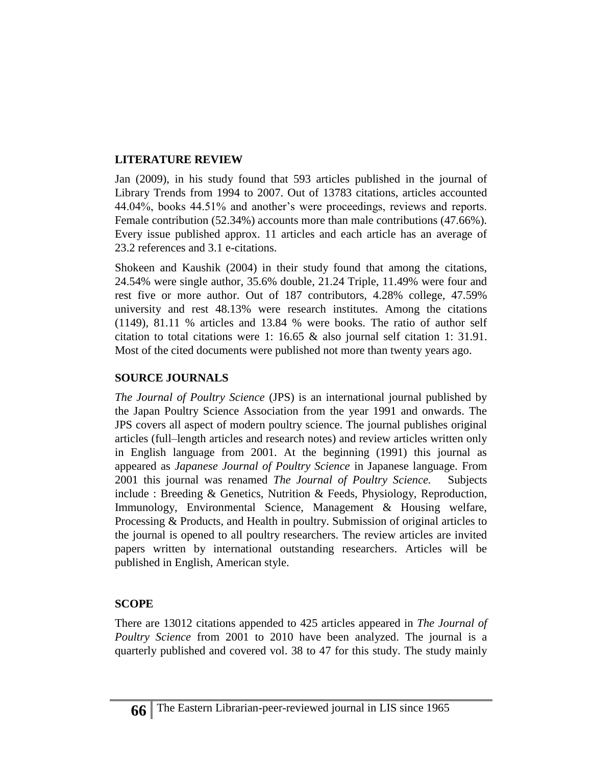## **LITERATURE REVIEW**

Jan (2009), in his study found that 593 articles published in the journal of Library Trends from 1994 to 2007. Out of 13783 citations, articles accounted 44.04%, books 44.51% and another's were proceedings, reviews and reports. Female contribution (52.34%) accounts more than male contributions (47.66%). Every issue published approx. 11 articles and each article has an average of 23.2 references and 3.1 e-citations.

Shokeen and Kaushik (2004) in their study found that among the citations, 24.54% were single author, 35.6% double, 21.24 Triple, 11.49% were four and rest five or more author. Out of 187 contributors, 4.28% college, 47.59% university and rest 48.13% were research institutes. Among the citations (1149), 81.11 % articles and 13.84 % were books. The ratio of author self citation to total citations were 1: 16.65  $\&$  also journal self citation 1: 31.91. Most of the cited documents were published not more than twenty years ago.

# **SOURCE JOURNALS**

*The Journal of Poultry Science* (JPS) is an international journal published by the Japan Poultry Science Association from the year 1991 and onwards. The JPS covers all aspect of modern poultry science. The journal publishes original articles (full–length articles and research notes) and review articles written only in English language from 2001. At the beginning (1991) this journal as appeared as *Japanese Journal of Poultry Science* in Japanese language. From 2001 this journal was renamed *The Journal of Poultry Science.* Subjects include : Breeding & Genetics, Nutrition & Feeds, Physiology, Reproduction, Immunology, Environmental Science, Management & Housing welfare, Processing & Products, and Health in poultry. Submission of original articles to the journal is opened to all poultry researchers. The review articles are invited papers written by international outstanding researchers. Articles will be published in English, American style.

# **SCOPE**

There are 13012 citations appended to 425 articles appeared in *The Journal of Poultry Science* from 2001 to 2010 have been analyzed. The journal is a quarterly published and covered vol. 38 to 47 for this study. The study mainly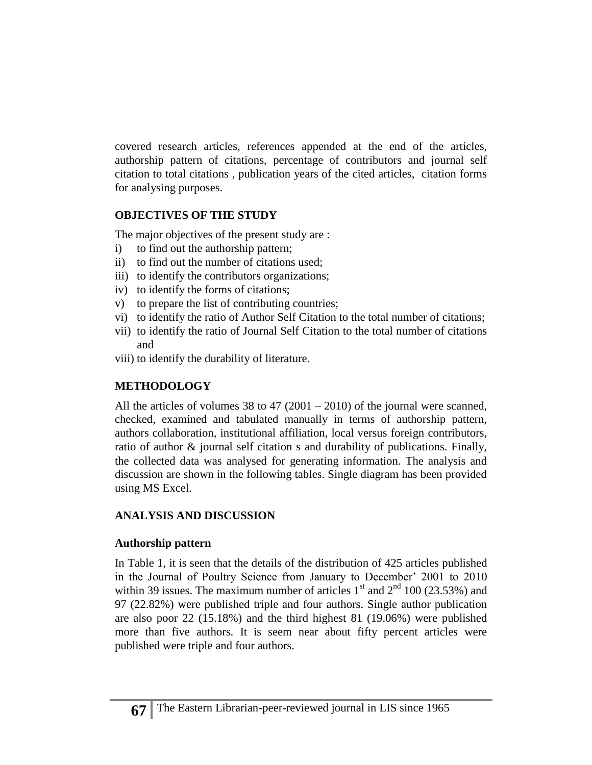covered research articles, references appended at the end of the articles, authorship pattern of citations, percentage of contributors and journal self citation to total citations , publication years of the cited articles, citation forms for analysing purposes.

## **OBJECTIVES OF THE STUDY**

The major objectives of the present study are :

- i) to find out the authorship pattern;
- ii) to find out the number of citations used;
- iii) to identify the contributors organizations;
- iv) to identify the forms of citations;
- v) to prepare the list of contributing countries;
- vi) to identify the ratio of Author Self Citation to the total number of citations;
- vii) to identify the ratio of Journal Self Citation to the total number of citations and
- viii) to identify the durability of literature.

# **METHODOLOGY**

All the articles of volumes 38 to  $47$  (2001 – 2010) of the journal were scanned, checked, examined and tabulated manually in terms of authorship pattern, authors collaboration, institutional affiliation, local versus foreign contributors, ratio of author & journal self citation s and durability of publications. Finally, the collected data was analysed for generating information. The analysis and discussion are shown in the following tables. Single diagram has been provided using MS Excel.

# **ANALYSIS AND DISCUSSION**

# **Authorship pattern**

In Table 1, it is seen that the details of the distribution of 425 articles published in the Journal of Poultry Science from January to December' 2001 to 2010 within 39 issues. The maximum number of articles  $1<sup>st</sup>$  and  $2<sup>nd</sup>$  100 (23.53%) and 97 (22.82%) were published triple and four authors. Single author publication are also poor 22 (15.18%) and the third highest 81 (19.06%) were published more than five authors. It is seem near about fifty percent articles were published were triple and four authors.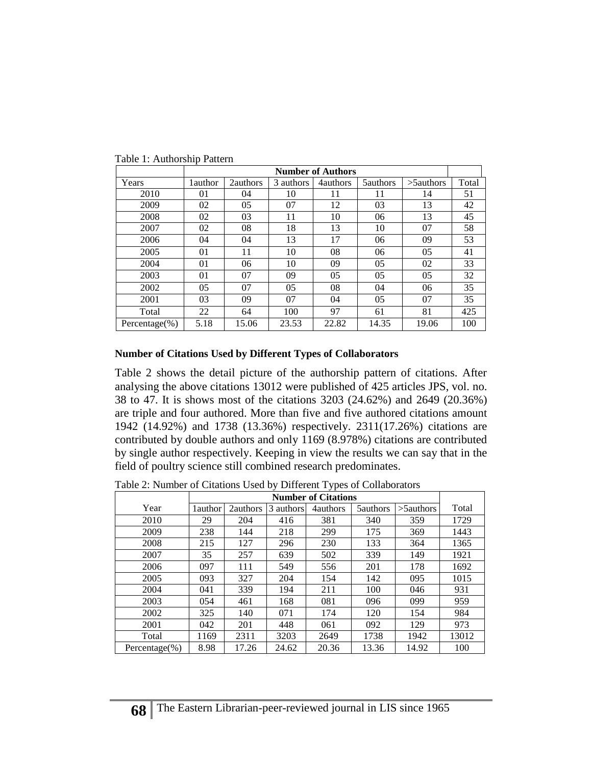|                   | <b>Number of Authors</b> |          |           |           |          |              |       |
|-------------------|--------------------------|----------|-----------|-----------|----------|--------------|-------|
| Years             | l author                 | 2authors | 3 authors | 4 authors | 5authors | $>5$ authors | Total |
| 2010              | 01                       | 04       | 10        | 11        | 11       | 14           | 51    |
| 2009              | 02                       | 05       | 07        | 12        | 03       | 13           | 42    |
| 2008              | 02                       | 03       | 11        | 10        | 06       | 13           | 45    |
| 2007              | 02                       | 08       | 18        | 13        | 10       | 07           | 58    |
| 2006              | 04                       | 04       | 13        | 17        | 06       | 09           | 53    |
| 2005              | 01                       | 11       | 10        | 08        | 06       | 05           | 41    |
| 2004              | 01                       | 06       | 10        | 09        | 05       | 02           | 33    |
| 2003              | 01                       | 07       | 09        | 05        | 05       | 05           | 32    |
| 2002              | 05                       | 07       | 05        | 08        | 04       | 06           | 35    |
| 2001              | 03                       | 09       | 07        | 04        | 05       | 07           | 35    |
| Total             | 22                       | 64       | 100       | 97        | 61       | 81           | 425   |
| Percentage $(\%)$ | 5.18                     | 15.06    | 23.53     | 22.82     | 14.35    | 19.06        | 100   |

Table 1: Authorship Pattern

### **Number of Citations Used by Different Types of Collaborators**

Table 2 shows the detail picture of the authorship pattern of citations. After analysing the above citations 13012 were published of 425 articles JPS, vol. no. 38 to 47. It is shows most of the citations 3203 (24.62%) and 2649 (20.36%) are triple and four authored. More than five and five authored citations amount 1942 (14.92%) and 1738 (13.36%) respectively. 2311(17.26%) citations are contributed by double authors and only 1169 (8.978%) citations are contributed by single author respectively. Keeping in view the results we can say that in the field of poultry science still combined research predominates.

|                   | <b>Number of Citations</b> |          |           |           |          |              |       |
|-------------------|----------------------------|----------|-----------|-----------|----------|--------------|-------|
| Year              | 1 author                   | 2authors | 3 authors | 4 authors | 5authors | $>5$ authors | Total |
| 2010              | 29                         | 204      | 416       | 381       | 340      | 359          | 1729  |
| 2009              | 238                        | 144      | 218       | 299       | 175      | 369          | 1443  |
| 2008              | 215                        | 127      | 296       | 230       | 133      | 364          | 1365  |
| 2007              | 35                         | 257      | 639       | 502       | 339      | 149          | 1921  |
| 2006              | 097                        | 111      | 549       | 556       | 201      | 178          | 1692  |
| 2005              | 093                        | 327      | 204       | 154       | 142      | 095          | 1015  |
| 2004              | 041                        | 339      | 194       | 211       | 100      | 046          | 931   |
| 2003              | 054                        | 461      | 168       | 081       | 096      | 099          | 959   |
| 2002              | 325                        | 140      | 071       | 174       | 120      | 154          | 984   |
| 2001              | 042                        | 201      | 448       | 061       | 092      | 129          | 973   |
| Total             | 1169                       | 2311     | 3203      | 2649      | 1738     | 1942         | 13012 |
| Percentage $(\%)$ | 8.98                       | 17.26    | 24.62     | 20.36     | 13.36    | 14.92        | 100   |

Table 2: Number of Citations Used by Different Types of Collaborators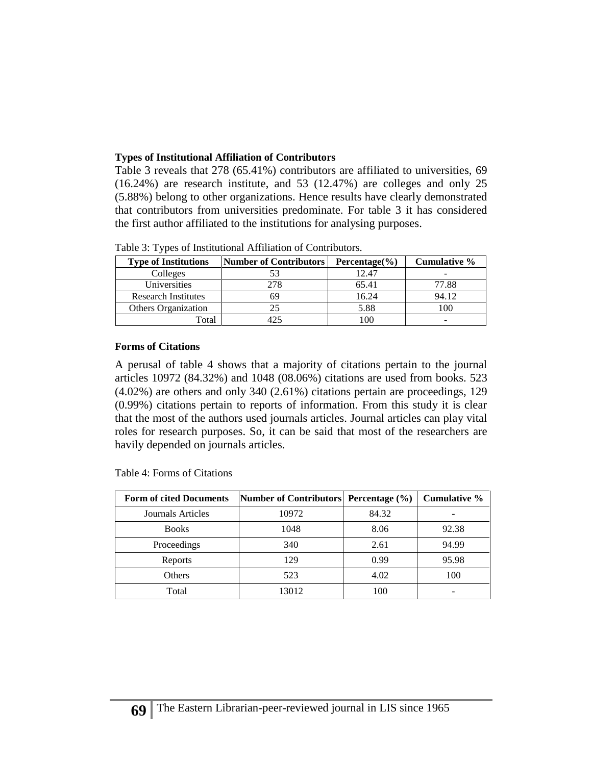### **Types of Institutional Affiliation of Contributors**

Table 3 reveals that 278 (65.41%) contributors are affiliated to universities, 69 (16.24%) are research institute, and 53 (12.47%) are colleges and only 25 (5.88%) belong to other organizations. Hence results have clearly demonstrated that contributors from universities predominate. For table 3 it has considered the first author affiliated to the institutions for analysing purposes.

| <b>Type of Institutions</b> | <b>Number of Contributors</b> | Percentage $(\% )$ | Cumulative % |
|-----------------------------|-------------------------------|--------------------|--------------|
| Colleges                    |                               | 12.47              |              |
| Universities                | 278                           | 65.41              | 77.88        |
| <b>Research Institutes</b>  | 69                            | 16.24              | 94.12        |
| <b>Others Organization</b>  | 25                            | 5.88               | 100          |
| Total                       | 425                           | 100                |              |

Table 3: Types of Institutional Affiliation of Contributors.

### **Forms of Citations**

A perusal of table 4 shows that a majority of citations pertain to the journal articles 10972 (84.32%) and 1048 (08.06%) citations are used from books. 523 (4.02%) are others and only 340 (2.61%) citations pertain are proceedings, 129 (0.99%) citations pertain to reports of information. From this study it is clear that the most of the authors used journals articles. Journal articles can play vital roles for research purposes. So, it can be said that most of the researchers are havily depended on journals articles.

| <b>Form of cited Documents</b> | <b>Number of Contributors</b> Percentage (%) |       | Cumulative % |
|--------------------------------|----------------------------------------------|-------|--------------|
| Journals Articles              | 10972                                        | 84.32 |              |
| <b>Books</b>                   | 1048                                         | 8.06  | 92.38        |
| Proceedings                    | 340                                          | 2.61  | 94.99        |
| Reports                        | 129                                          | 0.99  | 95.98        |
| Others                         | 523                                          | 4.02  | 100          |
| Total                          | 13012                                        | 100   |              |

Table 4: Forms of Citations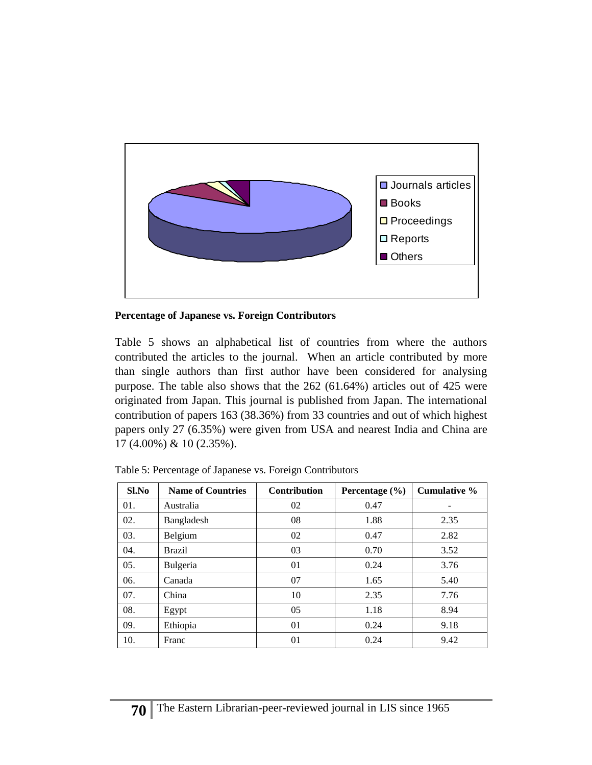

**Percentage of Japanese vs. Foreign Contributors**

Table 5 shows an alphabetical list of countries from where the authors contributed the articles to the journal. When an article contributed by more than single authors than first author have been considered for analysing purpose. The table also shows that the 262 (61.64%) articles out of 425 were originated from Japan. This journal is published from Japan. The international contribution of papers 163 (38.36%) from 33 countries and out of which highest papers only 27 (6.35%) were given from USA and nearest India and China are 17 (4.00%) & 10 (2.35%).

| Sl.No | <b>Name of Countries</b> | <b>Contribution</b> | Percentage $(\% )$ | Cumulative % |
|-------|--------------------------|---------------------|--------------------|--------------|
| 01.   | Australia                | 02                  | 0.47               |              |
| 02.   | Bangladesh               | 08                  | 1.88               | 2.35         |
| 03.   | Belgium                  | 02                  | 0.47               | 2.82         |
| 04.   | <b>Brazil</b>            | 03                  | 0.70               | 3.52         |
| 05.   | Bulgeria                 | 01                  | 0.24               | 3.76         |
| 06.   | Canada                   | 07                  | 1.65               | 5.40         |
| 07.   | China                    | 10                  | 2.35               | 7.76         |
| 08.   | Egypt                    | 05                  | 1.18               | 8.94         |
| 09.   | Ethiopia                 | 01                  | 0.24               | 9.18         |
| 10.   | Franc                    | 01                  | 0.24               | 9.42         |

Table 5: Percentage of Japanese vs. Foreign Contributors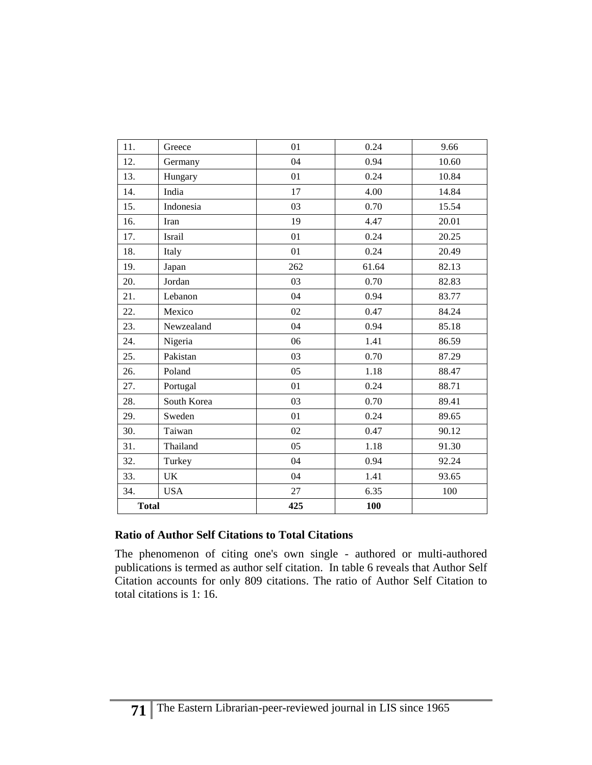| 11.          | Greece      | 01  | 0.24  | 9.66  |
|--------------|-------------|-----|-------|-------|
| 12.          | Germany     | 04  | 0.94  | 10.60 |
| 13.          | Hungary     | 01  | 0.24  | 10.84 |
| 14.          | India       | 17  | 4.00  | 14.84 |
| 15.          | Indonesia   | 03  | 0.70  | 15.54 |
| 16.          | Iran        | 19  | 4.47  | 20.01 |
| 17.          | Israil      | 01  | 0.24  | 20.25 |
| 18.          | Italy       | 01  | 0.24  | 20.49 |
| 19.          | Japan       | 262 | 61.64 | 82.13 |
| 20.          | Jordan      | 03  | 0.70  | 82.83 |
| 21.          | Lebanon     | 04  | 0.94  | 83.77 |
| 22.          | Mexico      | 02  | 0.47  | 84.24 |
| 23.          | Newzealand  | 04  | 0.94  | 85.18 |
| 24.          | Nigeria     | 06  | 1.41  | 86.59 |
| 25.          | Pakistan    | 03  | 0.70  | 87.29 |
| 26.          | Poland      | 05  | 1.18  | 88.47 |
| 27.          | Portugal    | 01  | 0.24  | 88.71 |
| 28.          | South Korea | 03  | 0.70  | 89.41 |
| 29.          | Sweden      | 01  | 0.24  | 89.65 |
| 30.          | Taiwan      | 02  | 0.47  | 90.12 |
| 31.          | Thailand    | 05  | 1.18  | 91.30 |
| 32.          | Turkey      | 04  | 0.94  | 92.24 |
| 33.          | <b>UK</b>   | 04  | 1.41  | 93.65 |
| 34.          | <b>USA</b>  | 27  | 6.35  | 100   |
| <b>Total</b> |             | 425 | 100   |       |

### **Ratio of Author Self Citations to Total Citations**

The phenomenon of citing one's own single - authored or multi-authored publications is termed as author self citation. In table 6 reveals that Author Self Citation accounts for only 809 citations. The ratio of Author Self Citation to total citations is 1: 16.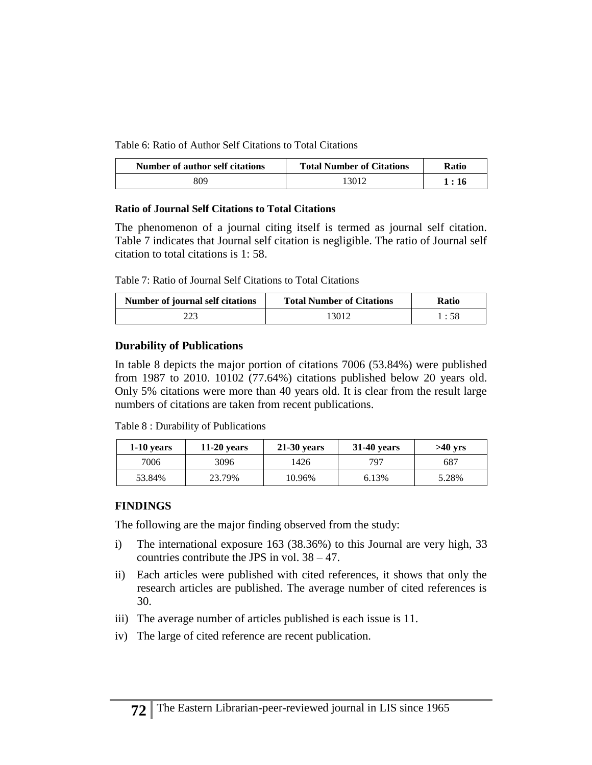Table 6: Ratio of Author Self Citations to Total Citations

| Number of author self citations | <b>Total Number of Citations</b> | Ratio |
|---------------------------------|----------------------------------|-------|
| 809                             | .3012                            | 1:16  |

### **Ratio of Journal Self Citations to Total Citations**

The phenomenon of a journal citing itself is termed as journal self citation. Table 7 indicates that Journal self citation is negligible. The ratio of Journal self citation to total citations is 1: 58.

Table 7: Ratio of Journal Self Citations to Total Citations

| Number of journal self citations | <b>Total Number of Citations</b> | Ratio |
|----------------------------------|----------------------------------|-------|
| 223                              | ' 3012                           | 1:58  |

### **Durability of Publications**

In table 8 depicts the major portion of citations 7006 (53.84%) were published from 1987 to 2010. 10102 (77.64%) citations published below 20 years old. Only 5% citations were more than 40 years old. It is clear from the result large numbers of citations are taken from recent publications.

Table 8 : Durability of Publications

| $1-10$ years | $11-20$ years | $21-30$ years | $31-40$ years | $>40$ yrs |
|--------------|---------------|---------------|---------------|-----------|
| 7006         | 3096          | 1426          | 797           | 687       |
| 53.84%       | 23.79%        | 10.96%        | 6.13%         | 5.28%     |

## **FINDINGS**

The following are the major finding observed from the study:

- i) The international exposure 163 (38.36%) to this Journal are very high, 33 countries contribute the JPS in vol. 38 – 47.
- ii) Each articles were published with cited references, it shows that only the research articles are published. The average number of cited references is 30.
- iii) The average number of articles published is each issue is 11.
- iv) The large of cited reference are recent publication.